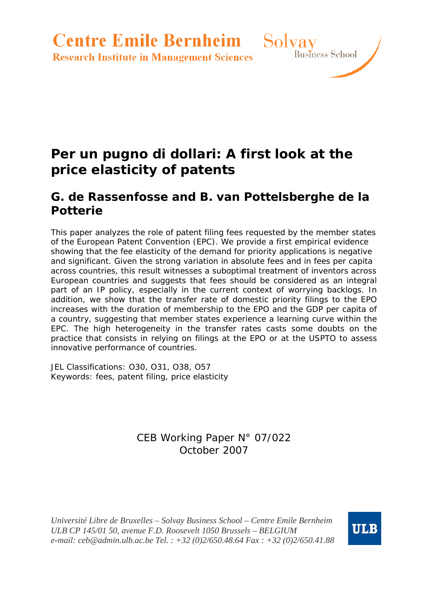**Centre Emile Bernheim** Solvay

**Research Institute in Management Sciences** 

# **Per un pugno di dollari: A first look at the price elasticity of patents**

## **G. de Rassenfosse and B. van Pottelsberghe de la Potterie**

This paper analyzes the role of patent filing fees requested by the member states of the European Patent Convention (EPC). We provide a first empirical evidence showing that the fee elasticity of the demand for priority applications is negative and significant. Given the strong variation in absolute fees and in fees per capita across countries, this result witnesses a suboptimal treatment of inventors across European countries and suggests that fees should be considered as an integral part of an IP policy, especially in the current context of worrying backlogs. In addition, we show that the transfer rate of domestic priority filings to the EPO increases with the duration of membership to the EPO and the GDP per capita of a country, suggesting that member states experience a *learning curve* within the EPC. The high heterogeneity in the transfer rates casts some doubts on the practice that consists in relying on filings at the EPO or at the USPTO to assess innovative performance of countries.

JEL Classifications: O30, O31, O38, O57 Keywords: fees, patent filing, price elasticity

## CEB Working Paper N° 07/022 October 2007

*Université Libre de Bruxelles – Solvay Business School – Centre Emile Bernheim ULB CP 145/01 50, avenue F.D. Roosevelt 1050 Brussels – BELGIUM e-mail: ceb@admin.ulb.ac.be Tel. : +32 (0)2/650.48.64 Fax : +32 (0)2/650.41.88*



Business School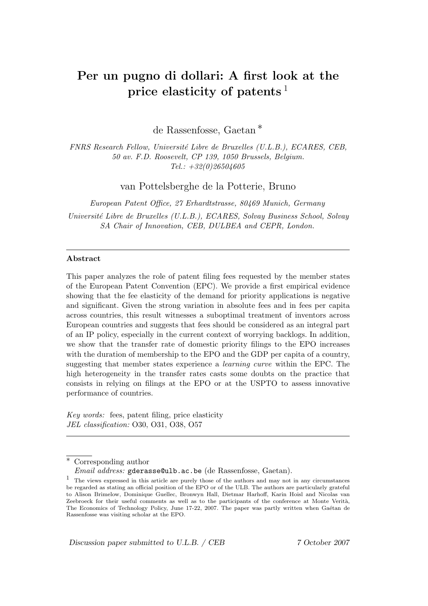## **Per un pugno di dollari: A first look at the price elasticity of patents** <sup>1</sup>

de Rassenfosse, Gaetan ∗

FNRS Research Fellow, Universit´e Libre de Bruxelles (U.L.B.), ECARES, CEB, 50 av. F.D. Roosevelt, CP 139, 1050 Brussels, Belgium.  $Tel.: +32(0)26504605$ 

van Pottelsberghe de la Potterie, Bruno

European Patent Office, 27 Erhardtstrasse, 80469 Munich, Germany Universit´e Libre de Bruxelles (U.L.B.), ECARES, Solvay Business School, Solvay SA Chair of Innovation, CEB, DULBEA and CEPR, London.

#### **Abstract**

This paper analyzes the role of patent filing fees requested by the member states of the European Patent Convention (EPC). We provide a first empirical evidence showing that the fee elasticity of the demand for priority applications is negative and significant. Given the strong variation in absolute fees and in fees per capita across countries, this result witnesses a suboptimal treatment of inventors across European countries and suggests that fees should be considered as an integral part of an IP policy, especially in the current context of worrying backlogs. In addition, we show that the transfer rate of domestic priority filings to the EPO increases with the duration of membership to the EPO and the GDP per capita of a country, suggesting that member states experience a learning curve within the EPC. The high heterogeneity in the transfer rates casts some doubts on the practice that consists in relying on filings at the EPO or at the USPTO to assess innovative performance of countries.

Key words: fees, patent filing, price elasticity JEL classification: O30, O31, O38, O57

Corresponding author

Discussion paper submitted to U.L.B. / CEB 7 October 2007

Email address: gderasse@ulb.ac.be (de Rassenfosse, Gaetan).

<sup>1</sup> The views expressed in this article are purely those of the authors and may not in any circumstances be regarded as stating an official position of the EPO or of the ULB. The authors are particularly grateful to Alison Brimelow, Dominique Guellec, Bronwyn Hall, Dietmar Harhoff, Karin Hoisl and Nicolas van Zeebroeck for their useful comments as well as to the participants of the conference at Monte Verità, The Economics of Technology Policy, June 17-22, 2007. The paper was partly written when Gaétan de Rassenfosse was visiting scholar at the EPO.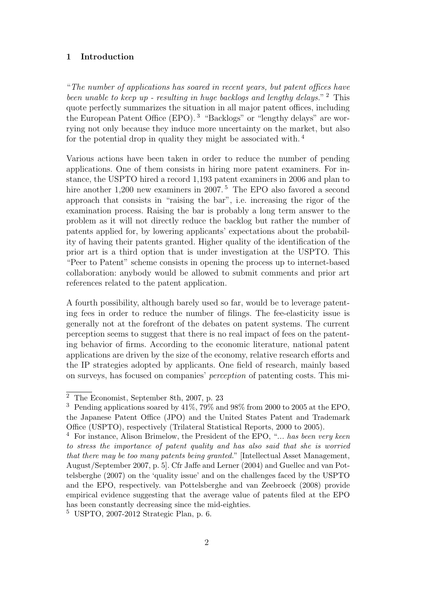### **1 Introduction**

"The number of applications has soared in recent years, but patent offices have been unable to keep up - resulting in huge backlogs and lengthy delays."  $2$  This quote perfectly summarizes the situation in all major patent offices, including the European Patent Office (EPO). <sup>3</sup> "Backlogs" or "lengthy delays" are worrying not only because they induce more uncertainty on the market, but also for the potential drop in quality they might be associated with. <sup>4</sup>

Various actions have been taken in order to reduce the number of pending applications. One of them consists in hiring more patent examiners. For instance, the USPTO hired a record 1,193 patent examiners in 2006 and plan to hire another 1,200 new examiners in 2007.<sup>5</sup> The EPO also favored a second approach that consists in "raising the bar", i.e. increasing the rigor of the examination process. Raising the bar is probably a long term answer to the problem as it will not directly reduce the backlog but rather the number of patents applied for, by lowering applicants' expectations about the probability of having their patents granted. Higher quality of the identification of the prior art is a third option that is under investigation at the USPTO. This "Peer to Patent" scheme consists in opening the process up to internet-based collaboration: anybody would be allowed to submit comments and prior art references related to the patent application.

A fourth possibility, although barely used so far, would be to leverage patenting fees in order to reduce the number of filings. The fee-elasticity issue is generally not at the forefront of the debates on patent systems. The current perception seems to suggest that there is no real impact of fees on the patenting behavior of firms. According to the economic literature, national patent applications are driven by the size of the economy, relative research efforts and the IP strategies adopted by applicants. One field of research, mainly based on surveys, has focused on companies' perception of patenting costs. This mi-

 $\overline{2}$  The Economist, September 8th, 2007, p. 23

<sup>&</sup>lt;sup>3</sup> Pending applications soared by  $41\%$ , 79% and 98% from 2000 to 2005 at the EPO, the Japanese Patent Office (JPO) and the United States Patent and Trademark Office (USPTO), respectively (Trilateral Statistical Reports, 2000 to 2005).

 $4$  For instance, Alison Brimelow, the President of the EPO, "... has been very keen to stress the importance of patent quality and has also said that she is worried that there may be too many patents being granted." [Intellectual Asset Management, August/September 2007, p. 5]. Cfr Jaffe and Lerner (2004) and Guellec and van Pottelsberghe (2007) on the 'quality issue' and on the challenges faced by the USPTO and the EPO, respectively. van Pottelsberghe and van Zeebroeck (2008) provide empirical evidence suggesting that the average value of patents filed at the EPO has been constantly decreasing since the mid-eighties.

<sup>5</sup> USPTO, 2007-2012 Strategic Plan, p. 6.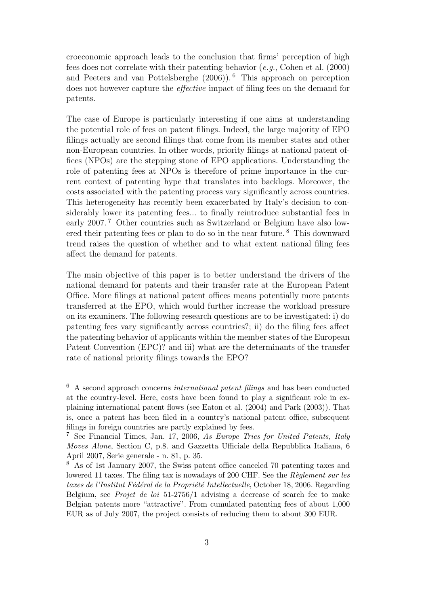croeconomic approach leads to the conclusion that firms' perception of high fees does not correlate with their patenting behavior (e.g., Cohen et al. (2000) and Peeters and van Pottelsberghe (2006)). <sup>6</sup> This approach on perception does not however capture the effective impact of filing fees on the demand for patents.

The case of Europe is particularly interesting if one aims at understanding the potential role of fees on patent filings. Indeed, the large majority of EPO filings actually are second filings that come from its member states and other non-European countries. In other words, priority filings at national patent offices (NPOs) are the stepping stone of EPO applications. Understanding the role of patenting fees at NPOs is therefore of prime importance in the current context of patenting hype that translates into backlogs. Moreover, the costs associated with the patenting process vary significantly across countries. This heterogeneity has recently been exacerbated by Italy's decision to considerably lower its patenting fees... to finally reintroduce substantial fees in early 2007.<sup>7</sup> Other countries such as Switzerland or Belgium have also lowered their patenting fees or plan to do so in the near future. <sup>8</sup> This downward trend raises the question of whether and to what extent national filing fees affect the demand for patents.

The main objective of this paper is to better understand the drivers of the national demand for patents and their transfer rate at the European Patent Office. More filings at national patent offices means potentially more patents transferred at the EPO, which would further increase the workload pressure on its examiners. The following research questions are to be investigated: i) do patenting fees vary significantly across countries?; ii) do the filing fees affect the patenting behavior of applicants within the member states of the European Patent Convention (EPC)? and iii) what are the determinants of the transfer rate of national priority filings towards the EPO?

 $6$  A second approach concerns *international patent filings* and has been conducted at the country-level. Here, costs have been found to play a significant role in explaining international patent flows (see Eaton et al. (2004) and Park (2003)). That is, once a patent has been filed in a country's national patent office, subsequent filings in foreign countries are partly explained by fees.

<sup>7</sup> See Financial Times, Jan. 17, 2006, As Europe Tries for United Patents, Italy Moves Alone, Section C, p.8. and Gazzetta Ufficiale della Repubblica Italiana, 6 April 2007, Serie generale - n. 81, p. 35.

<sup>8</sup> As of 1st January 2007, the Swiss patent office canceled 70 patenting taxes and lowered 11 taxes. The filing tax is nowadays of 200 CHF. See the  $R\grave{e}glement$  sur les taxes de l'Institut Fédéral de la Propriété Intellectuelle, October 18, 2006. Regarding Belgium, see Projet de loi 51-2756/1 advising a decrease of search fee to make Belgian patents more "attractive". From cumulated patenting fees of about 1,000 EUR as of July 2007, the project consists of reducing them to about 300 EUR.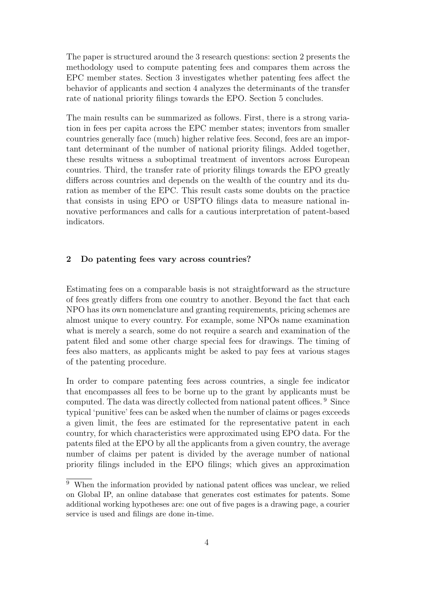The paper is structured around the 3 research questions: section 2 presents the methodology used to compute patenting fees and compares them across the EPC member states. Section 3 investigates whether patenting fees affect the behavior of applicants and section 4 analyzes the determinants of the transfer rate of national priority filings towards the EPO. Section 5 concludes.

The main results can be summarized as follows. First, there is a strong variation in fees per capita across the EPC member states; inventors from smaller countries generally face (much) higher relative fees. Second, fees are an important determinant of the number of national priority filings. Added together, these results witness a suboptimal treatment of inventors across European countries. Third, the transfer rate of priority filings towards the EPO greatly differs across countries and depends on the wealth of the country and its duration as member of the EPC. This result casts some doubts on the practice that consists in using EPO or USPTO filings data to measure national innovative performances and calls for a cautious interpretation of patent-based indicators.

#### **2 Do patenting fees vary across countries?**

Estimating fees on a comparable basis is not straightforward as the structure of fees greatly differs from one country to another. Beyond the fact that each NPO has its own nomenclature and granting requirements, pricing schemes are almost unique to every country. For example, some NPOs name examination what is merely a search, some do not require a search and examination of the patent filed and some other charge special fees for drawings. The timing of fees also matters, as applicants might be asked to pay fees at various stages of the patenting procedure.

In order to compare patenting fees across countries, a single fee indicator that encompasses all fees to be borne up to the grant by applicants must be computed. The data was directly collected from national patent offices. <sup>9</sup> Since typical 'punitive' fees can be asked when the number of claims or pages exceeds a given limit, the fees are estimated for the representative patent in each country, for which characteristics were approximated using EPO data. For the patents filed at the EPO by all the applicants from a given country, the average number of claims per patent is divided by the average number of national priority filings included in the EPO filings; which gives an approximation

 $\overline{9}$  When the information provided by national patent offices was unclear, we relied on Global IP, an online database that generates cost estimates for patents. Some additional working hypotheses are: one out of five pages is a drawing page, a courier service is used and filings are done in-time.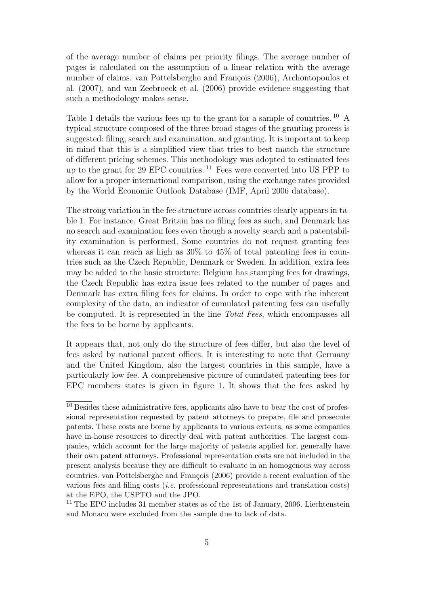of the average number of claims per priority filings. The average number of pages is calculated on the assumption of a linear relation with the average number of claims. van Pottelsberghe and François (2006), Archontopoulos et al. (2007), and van Zeebroeck et al. (2006) provide evidence suggesting that such a methodology makes sense.

Table 1 details the various fees up to the grant for a sample of countries. <sup>10</sup> A typical structure composed of the three broad stages of the granting process is suggested: filing, search and examination, and granting. It is important to keep in mind that this is a simplified view that tries to best match the structure of different pricing schemes. This methodology was adopted to estimated fees up to the grant for 29 EPC countries. <sup>11</sup> Fees were converted into US PPP to allow for a proper international comparison, using the exchange rates provided by the World Economic Outlook Database (IMF, April 2006 database).

The strong variation in the fee structure across countries clearly appears in table 1. For instance, Great Britain has no filing fees as such, and Denmark has no search and examination fees even though a novelty search and a patentability examination is performed. Some countries do not request granting fees whereas it can reach as high as  $30\%$  to  $45\%$  of total patenting fees in countries such as the Czech Republic, Denmark or Sweden. In addition, extra fees may be added to the basic structure: Belgium has stamping fees for drawings, the Czech Republic has extra issue fees related to the number of pages and Denmark has extra filing fees for claims. In order to cope with the inherent complexity of the data, an indicator of cumulated patenting fees can usefully be computed. It is represented in the line Total Fees, which encompasses all the fees to be borne by applicants.

It appears that, not only do the structure of fees differ, but also the level of fees asked by national patent offices. It is interesting to note that Germany and the United Kingdom, also the largest countries in this sample, have a particularly low fee. A comprehensive picture of cumulated patenting fees for EPC members states is given in figure 1. It shows that the fees asked by

<sup>11</sup> The EPC includes 31 member states as of the 1st of January, 2006. Liechtenstein and Monaco were excluded from the sample due to lack of data.

 $10$  Besides these administrative fees, applicants also have to bear the cost of professional representation requested by patent attorneys to prepare, file and prosecute patents. These costs are borne by applicants to various extents, as some companies have in-house resources to directly deal with patent authorities. The largest companies, which account for the large majority of patents applied for, generally have their own patent attorneys. Professional representation costs are not included in the present analysis because they are difficult to evaluate in an homogenous way across countries. van Pottelsberghe and François (2006) provide a recent evaluation of the various fees and filing costs (i.e. professional representations and translation costs) at the EPO, the USPTO and the JPO.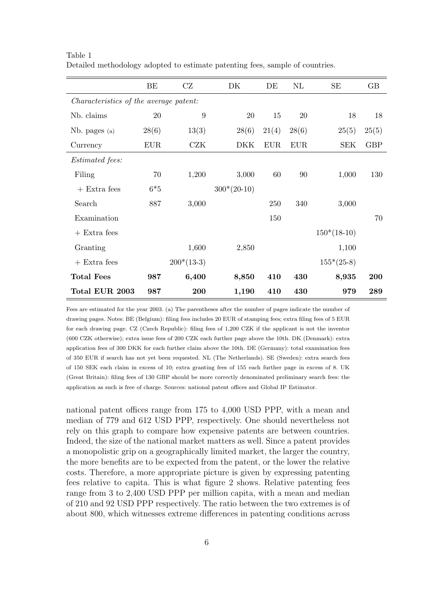|                                               | BE         | CZ           | DK            | DE         | $\rm NL$   | SE            | $\rm GB$   |
|-----------------------------------------------|------------|--------------|---------------|------------|------------|---------------|------------|
| <i>Characteristics of the average patent:</i> |            |              |               |            |            |               |            |
| Nb. claims                                    | 20         | 9            | 20            | 15         | 20         | 18            | 18         |
| Nb. pages (a)                                 | 28(6)      | 13(3)        | 28(6)         | 21(4)      | 28(6)      | 25(5)         | 25(5)      |
| Currency                                      | <b>EUR</b> | <b>CZK</b>   | DKK           | <b>EUR</b> | <b>EUR</b> | <b>SEK</b>    | <b>GBP</b> |
| <i>Estimated fees:</i>                        |            |              |               |            |            |               |            |
| Filing                                        | 70         | 1,200        | 3,000         | 60         | 90         | 1,000         | 130        |
| $+$ Extra fees                                | $6*5$      |              | $300*(20-10)$ |            |            |               |            |
| Search                                        | 887        | 3,000        |               | 250        | 340        | 3,000         |            |
| Examination                                   |            |              |               | 150        |            |               | 70         |
| $+$ Extra fees                                |            |              |               |            |            | $150*(18-10)$ |            |
| Granting                                      |            | 1,600        | 2,850         |            |            | 1,100         |            |
| $+$ Extra fees                                |            | $200*(13-3)$ |               |            |            | $155*(25-8)$  |            |
| <b>Total Fees</b>                             | 987        | 6,400        | 8,850         | 410        | 430        | 8,935         | 200        |
| Total EUR 2003                                | 987        | 200          | 1,190         | 410        | 430        | 979           | 289        |

Table 1 Detailed methodology adopted to estimate patenting fees, sample of countries.

Fees are estimated for the year 2003. (a) The parentheses after the number of pages indicate the number of drawing pages. Notes: BE (Belgium): filing fees includes 20 EUR of stamping fees; extra filing fees of 5 EUR for each drawing page. CZ (Czech Republic): filing fees of 1,200 CZK if the applicant is not the inventor (600 CZK otherwise); extra issue fees of 200 CZK each further page above the 10th. DK (Denmark): extra application fees of 300 DKK for each further claim above the 10th. DE (Germany): total examination fees of 350 EUR if search has not yet been requested. NL (The Netherlands). SE (Sweden): extra search fees of 150 SEK each claim in excess of 10; extra granting fees of 155 each further page in excess of 8. UK (Great Britain): filing fees of 130 GBP should be more correctly denominated preliminary search fees: the application as such is free of charge. Sources: national patent offices and Global IP Estimator.

national patent offices range from 175 to 4,000 USD PPP, with a mean and median of 779 and 612 USD PPP, respectively. One should nevertheless not rely on this graph to compare how expensive patents are between countries. Indeed, the size of the national market matters as well. Since a patent provides a monopolistic grip on a geographically limited market, the larger the country, the more benefits are to be expected from the patent, or the lower the relative costs. Therefore, a more appropriate picture is given by expressing patenting fees relative to capita. This is what figure 2 shows. Relative patenting fees range from 3 to 2,400 USD PPP per million capita, with a mean and median of 210 and 92 USD PPP respectively. The ratio between the two extremes is of about 800, which witnesses extreme differences in patenting conditions across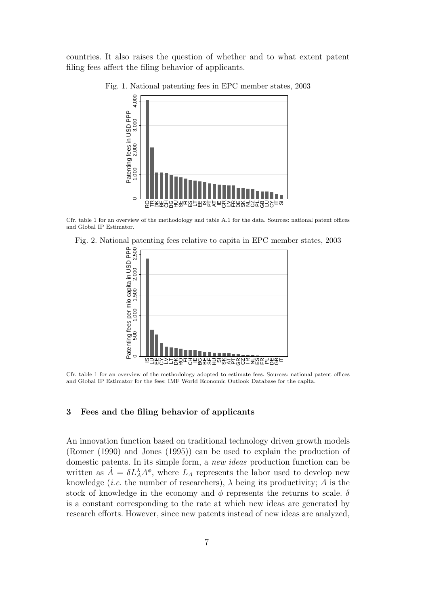countries. It also raises the question of whether and to what extent patent filing fees affect the filing behavior of applicants.



Fig. 1. National patenting fees in EPC member states, 2003

Cfr. table 1 for an overview of the methodology and table A.1 for the data. Sources: national patent offices and Global IP Estimator.

Fig. 2. National patenting fees relative to capita in EPC member states, 2003



Cfr. table 1 for an overview of the methodology adopted to estimate fees. Sources: national patent offices and Global IP Estimator for the fees; IMF World Economic Outlook Database for the capita.

#### **3 Fees and the filing behavior of applicants**

An innovation function based on traditional technology driven growth models (Romer (1990) and Jones (1995)) can be used to explain the production of domestic patents. In its simple form, a new ideas production function can be written as  $\dot{A} = \delta L_A^{\lambda} A^{\phi}$ , where  $L_A$  represents the labor used to develop new knowledge (*i.e.* the number of researchers),  $\lambda$  being its productivity; A is the stock of knowledge in the economy and  $\phi$  represents the returns to scale.  $\delta$ is a constant corresponding to the rate at which new ideas are generated by research efforts. However, since new patents instead of new ideas are analyzed,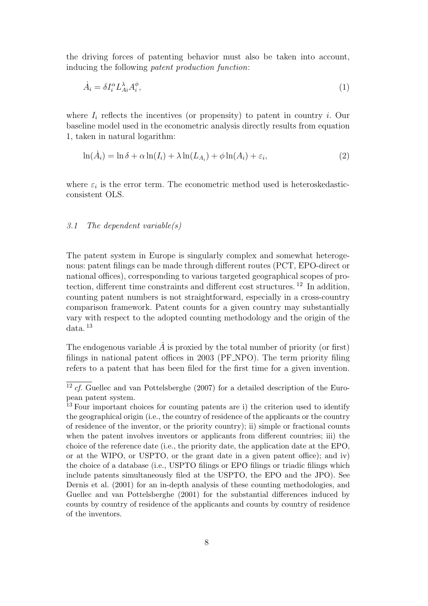the driving forces of patenting behavior must also be taken into account, inducing the following patent production function:

$$
\dot{A}_i = \delta I_i^{\alpha} L_{Ai}^{\lambda} A_i^{\phi},\tag{1}
$$

where  $I_i$  reflects the incentives (or propensity) to patent in country i. Our baseline model used in the econometric analysis directly results from equation 1, taken in natural logarithm:

$$
\ln(\dot{A}_i) = \ln \delta + \alpha \ln(I_i) + \lambda \ln(L_{A_i}) + \phi \ln(A_i) + \varepsilon_i,
$$
\n(2)

where  $\varepsilon_i$  is the error term. The econometric method used is heteroskedasticconsistent OLS.

### 3.1 The dependent variable(s)

The patent system in Europe is singularly complex and somewhat heterogenous: patent filings can be made through different routes (PCT, EPO-direct or national offices), corresponding to various targeted geographical scopes of protection, different time constraints and different cost structures.<sup>12</sup> In addition. counting patent numbers is not straightforward, especially in a cross-country comparison framework. Patent counts for a given country may substantially vary with respect to the adopted counting methodology and the origin of the data. <sup>13</sup>

The endogenous variable  $\vec{A}$  is proxied by the total number of priority (or first) filings in national patent offices in 2003 (PF NPO). The term priority filing refers to a patent that has been filed for the first time for a given invention.

 $12 cf.$  Guellec and van Pottelsberghe (2007) for a detailed description of the European patent system.

<sup>&</sup>lt;sup>13</sup> Four important choices for counting patents are i) the criterion used to identify the geographical origin (i.e., the country of residence of the applicants or the country of residence of the inventor, or the priority country); ii) simple or fractional counts when the patent involves inventors or applicants from different countries; iii) the choice of the reference date (i.e., the priority date, the application date at the EPO, or at the WIPO, or USPTO, or the grant date in a given patent office); and iv) the choice of a database (i.e., USPTO filings or EPO filings or triadic filings which include patents simultaneously filed at the USPTO, the EPO and the JPO). See Dernis et al. (2001) for an in-depth analysis of these counting methodologies, and Guellec and van Pottelsberghe (2001) for the substantial differences induced by counts by country of residence of the applicants and counts by country of residence of the inventors.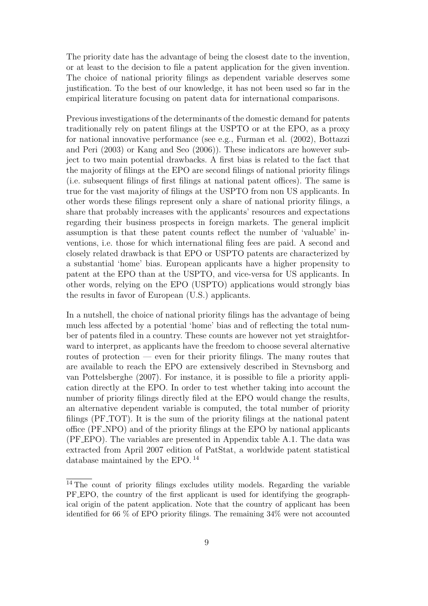The priority date has the advantage of being the closest date to the invention, or at least to the decision to file a patent application for the given invention. The choice of national priority filings as dependent variable deserves some justification. To the best of our knowledge, it has not been used so far in the empirical literature focusing on patent data for international comparisons.

Previous investigations of the determinants of the domestic demand for patents traditionally rely on patent filings at the USPTO or at the EPO, as a proxy for national innovative performance (see e.g., Furman et al. (2002), Bottazzi and Peri (2003) or Kang and Seo (2006)). These indicators are however subject to two main potential drawbacks. A first bias is related to the fact that the majority of filings at the EPO are second filings of national priority filings (i.e. subsequent filings of first filings at national patent offices). The same is true for the vast majority of filings at the USPTO from non US applicants. In other words these filings represent only a share of national priority filings, a share that probably increases with the applicants' resources and expectations regarding their business prospects in foreign markets. The general implicit assumption is that these patent counts reflect the number of 'valuable' inventions, i.e. those for which international filing fees are paid. A second and closely related drawback is that EPO or USPTO patents are characterized by a substantial 'home' bias. European applicants have a higher propensity to patent at the EPO than at the USPTO, and vice-versa for US applicants. In other words, relying on the EPO (USPTO) applications would strongly bias the results in favor of European (U.S.) applicants.

In a nutshell, the choice of national priority filings has the advantage of being much less affected by a potential 'home' bias and of reflecting the total number of patents filed in a country. These counts are however not yet straightforward to interpret, as applicants have the freedom to choose several alternative routes of protection — even for their priority filings. The many routes that are available to reach the EPO are extensively described in Stevnsborg and van Pottelsberghe (2007). For instance, it is possible to file a priority application directly at the EPO. In order to test whether taking into account the number of priority filings directly filed at the EPO would change the results, an alternative dependent variable is computed, the total number of priority filings (PF TOT). It is the sum of the priority filings at the national patent office (PF NPO) and of the priority filings at the EPO by national applicants (PF EPO). The variables are presented in Appendix table A.1. The data was extracted from April 2007 edition of PatStat, a worldwide patent statistical database maintained by the EPO. <sup>14</sup>

 $\overline{14}$  The count of priority filings excludes utility models. Regarding the variable PF EPO, the country of the first applicant is used for identifying the geographical origin of the patent application. Note that the country of applicant has been identified for 66 % of EPO priority filings. The remaining 34% were not accounted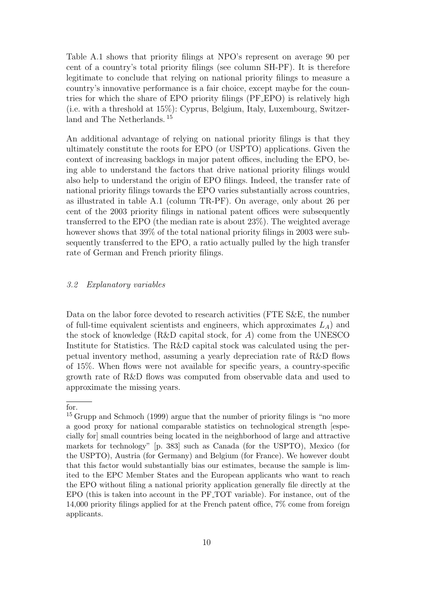Table A.1 shows that priority filings at NPO's represent on average 90 per cent of a country's total priority filings (see column SH-PF). It is therefore legitimate to conclude that relying on national priority filings to measure a country's innovative performance is a fair choice, except maybe for the countries for which the share of EPO priority filings (PF EPO) is relatively high (i.e. with a threshold at 15%): Cyprus, Belgium, Italy, Luxembourg, Switzerland and The Netherlands. <sup>15</sup>

An additional advantage of relying on national priority filings is that they ultimately constitute the roots for EPO (or USPTO) applications. Given the context of increasing backlogs in major patent offices, including the EPO, being able to understand the factors that drive national priority filings would also help to understand the origin of EPO filings. Indeed, the transfer rate of national priority filings towards the EPO varies substantially across countries, as illustrated in table A.1 (column TR-PF). On average, only about 26 per cent of the 2003 priority filings in national patent offices were subsequently transferred to the EPO (the median rate is about 23%). The weighted average however shows that 39% of the total national priority filings in 2003 were subsequently transferred to the EPO, a ratio actually pulled by the high transfer rate of German and French priority filings.

#### 3.2 Explanatory variables

Data on the labor force devoted to research activities (FTE S&E, the number of full-time equivalent scientists and engineers, which approximates  $L_A$ ) and the stock of knowledge (R&D capital stock, for  $A$ ) come from the UNESCO Institute for Statistics. The R&D capital stock was calculated using the perpetual inventory method, assuming a yearly depreciation rate of R&D flows of 15%. When flows were not available for specific years, a country-specific growth rate of R&D flows was computed from observable data and used to approximate the missing years.

for.

<sup>&</sup>lt;sup>15</sup> Grupp and Schmoch (1999) argue that the number of priority filings is "no more a good proxy for national comparable statistics on technological strength [especially for] small countries being located in the neighborhood of large and attractive markets for technology" [p. 383] such as Canada (for the USPTO), Mexico (for the USPTO), Austria (for Germany) and Belgium (for France). We however doubt that this factor would substantially bias our estimates, because the sample is limited to the EPC Member States and the European applicants who want to reach the EPO without filing a national priority application generally file directly at the EPO (this is taken into account in the PF TOT variable). For instance, out of the 14,000 priority filings applied for at the French patent office, 7% come from foreign applicants.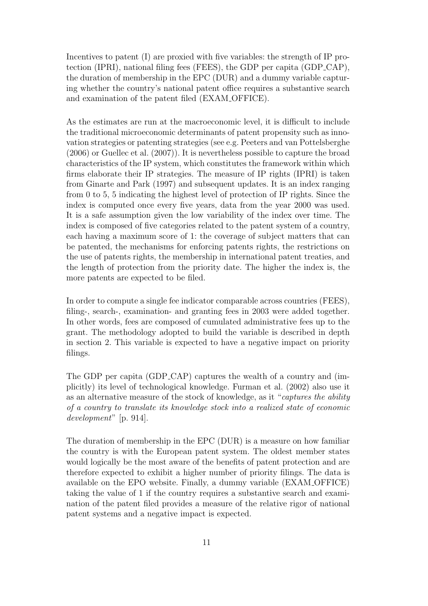Incentives to patent (I) are proxied with five variables: the strength of IP protection (IPRI), national filing fees (FEES), the GDP per capita (GDP CAP), the duration of membership in the EPC (DUR) and a dummy variable capturing whether the country's national patent office requires a substantive search and examination of the patent filed (EXAM OFFICE).

As the estimates are run at the macroeconomic level, it is difficult to include the traditional microeconomic determinants of patent propensity such as innovation strategies or patenting strategies (see e.g. Peeters and van Pottelsberghe (2006) or Guellec et al. (2007)). It is nevertheless possible to capture the broad characteristics of the IP system, which constitutes the framework within which firms elaborate their IP strategies. The measure of IP rights (IPRI) is taken from Ginarte and Park (1997) and subsequent updates. It is an index ranging from 0 to 5, 5 indicating the highest level of protection of IP rights. Since the index is computed once every five years, data from the year 2000 was used. It is a safe assumption given the low variability of the index over time. The index is composed of five categories related to the patent system of a country, each having a maximum score of 1: the coverage of subject matters that can be patented, the mechanisms for enforcing patents rights, the restrictions on the use of patents rights, the membership in international patent treaties, and the length of protection from the priority date. The higher the index is, the more patents are expected to be filed.

In order to compute a single fee indicator comparable across countries (FEES), filing-, search-, examination- and granting fees in 2003 were added together. In other words, fees are composed of cumulated administrative fees up to the grant. The methodology adopted to build the variable is described in depth in section 2. This variable is expected to have a negative impact on priority filings.

The GDP per capita (GDP CAP) captures the wealth of a country and (implicitly) its level of technological knowledge. Furman et al. (2002) also use it as an alternative measure of the stock of knowledge, as it "captures the ability of a country to translate its knowledge stock into a realized state of economic development" [p. 914].

The duration of membership in the EPC (DUR) is a measure on how familiar the country is with the European patent system. The oldest member states would logically be the most aware of the benefits of patent protection and are therefore expected to exhibit a higher number of priority filings. The data is available on the EPO website. Finally, a dummy variable (EXAM OFFICE) taking the value of 1 if the country requires a substantive search and examination of the patent filed provides a measure of the relative rigor of national patent systems and a negative impact is expected.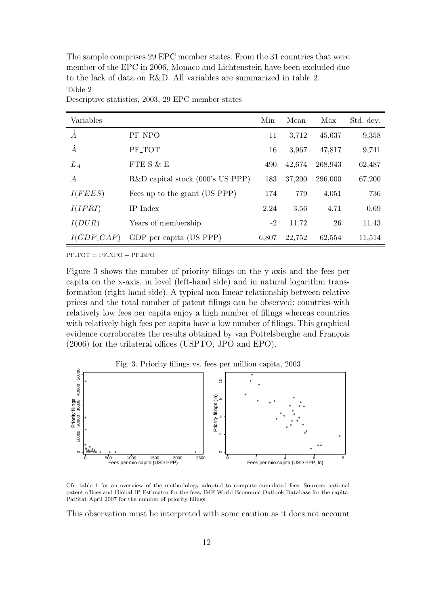The sample comprises 29 EPC member states. From the 31 countries that were member of the EPC in 2006, Monaco and Lichtenstein have been excluded due to the lack of data on R&D. All variables are summarized in table 2. Table 2

# Variables Min Mean Max Std. dev.  $\dot{A}$  PF\_NPO 11 3,712 45,637 9,358  $\dot{A}$  PF\_TOT 16 3,967 47,817 9,741  $L_A$  FTE S & E 490 42,674 268,943 62,487 A R&D capital stock (000's US PPP) 183 37,200 296,000 67,200  $I(FEES)$  Fees up to the grant (US PPP) 174 779 4,051 736  $I(IPRI)$  IP Index 2.24 3.56 4.71 0.69  $I(DUR)$  Years of membership  $-2$  11.72 26 11.43 I(GDP CAP) GDP per capita (US PPP) 6,807 22,752 62,554 11,514

Descriptive statistics, 2003, 29 EPC member states

 $PF\_TOT = PF\_NPO + PF\_EPO$ 

Figure 3 shows the number of priority filings on the y-axis and the fees per capita on the x-axis, in level (left-hand side) and in natural logarithm transformation (right-hand side). A typical non-linear relationship between relative prices and the total number of patent filings can be observed: countries with relatively low fees per capita enjoy a high number of filings whereas countries with relatively high fees per capita have a low number of filings. This graphical evidence corroborates the results obtained by van Pottelsberghe and François (2006) for the trilateral offices (USPTO, JPO and EPO).



Cfr. table 1 for an overview of the methodology adopted to compute cumulated fees. Sources: national patent offices and Global IP Estimator for the fees; IMF World Economic Outlook Database for the capita; PatStat April 2007 for the number of priority filings.

This observation must be interpreted with some caution as it does not account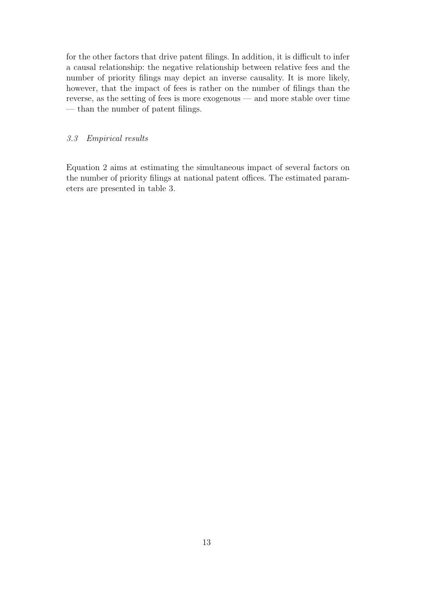for the other factors that drive patent filings. In addition, it is difficult to infer a causal relationship: the negative relationship between relative fees and the number of priority filings may depict an inverse causality. It is more likely, however, that the impact of fees is rather on the number of filings than the reverse, as the setting of fees is more exogenous — and more stable over time — than the number of patent filings.

## 3.3 Empirical results

Equation 2 aims at estimating the simultaneous impact of several factors on the number of priority filings at national patent offices. The estimated parameters are presented in table 3.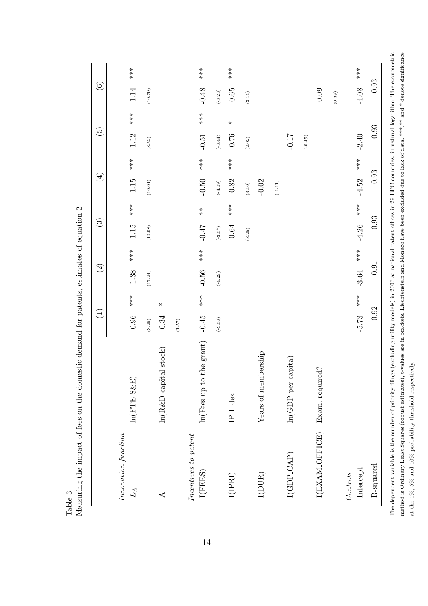|                                 |                                   | $\begin{pmatrix} 1 \end{pmatrix}$ |           | $\widehat{S}$ | $\widehat{\mathbf{G}}$ |              | $\bigoplus$ |        | $\widetilde{G}$ |                    | $\odot$   |       |
|---------------------------------|-----------------------------------|-----------------------------------|-----------|---------------|------------------------|--------------|-------------|--------|-----------------|--------------------|-----------|-------|
| $In nowation$ function<br>$L_A$ | $ln(FTE S\&E)$                    | $***$<br>0.96                     | 1.38      | $***$         | $1.15$                 | $***$        | 1.15        | $***$  | 1.12            | $***$              | 1.14      | $***$ |
|                                 |                                   | (3.25)                            | (17.24)   |               | (10.08)                |              | (10.01)     |        | (8.52)          |                    | (10.79)   |       |
| ⋖                               | $\ln(R\&D \text{ capital stock})$ | $\ast$<br>0.34                    |           |               |                        |              |             |        |                 |                    |           |       |
| Incentives to patent            |                                   | (1.57)                            |           |               |                        |              |             |        |                 |                    |           |       |
| I(FEES)                         | ln(Fees up to the grant)          | $***$<br>$-0.45$                  | $-0.56$   | $***$         | $2F$ 0-                | $* \atop *$  | $-0.50$     | $***$  | $-0.51$         | $**\n  * \n  * \n$ | $-0.48$   | $***$ |
|                                 |                                   | $(-3.58)$                         | $(-4.29)$ |               | $(-3.57)$              |              | $(-4.09)$   |        | $(-3.44)$       |                    | $(-3.23)$ |       |
| I(IPRI)                         | IP Index                          |                                   |           |               | $0.64\,$               | $***$        | 0.82        | $***$  | 0.76            | $\ast$             | $0.65\,$  | $***$ |
|                                 |                                   |                                   |           |               | (3.25)                 |              | $(3.10)$    |        | (2.02)          |                    | (3.14)    |       |
| $\rm I(DUR)$                    | Years of membership               |                                   |           |               |                        |              | $-0.02$     |        |                 |                    |           |       |
|                                 |                                   |                                   |           |               |                        |              | $(-1.11)$   |        |                 |                    |           |       |
| $I(GDP\_CAP)$                   | $ln(GDP)$ per capita)             |                                   |           |               |                        |              |             |        | $-0.17$         |                    |           |       |
|                                 |                                   |                                   |           |               |                        |              |             |        | $(-0.45)$       |                    |           |       |
| I(EXAM_OFFICE)                  | Exam. required?                   |                                   |           |               |                        |              |             |        |                 |                    | 0.09      |       |
|                                 |                                   |                                   |           |               |                        |              |             |        |                 |                    | (0.38)    |       |
| Intercept<br>Controls           |                                   | $**\n$<br>$-5.73$                 | $-3.64$   | $**\n$ **     | $-4.26$                | $**$<br>$**$ | $-4.52$     | $**\n$ | $-2.40$         |                    | $-4.08$   | $***$ |
| R-squared                       |                                   | 0.92                              |           | 0.91          | $\,0.93$               |              | 0.93        |        | 0.93            |                    | 0.93      |       |

o the impact of fees on the domestic demand for patents estimates of equation ? Measuring the impact of fees on the domestic demand for patents, estimates of equation 2 Table 3<br>Measuring method is Ordinary Least Squares (robust estimates), t-values are in brackets. Liechtenstein and Monaco have been excluded due to lack of data. \*\*\*,\*\* and \* denote significance method is Ordinary Least Squares (robust estimates), t-values are in brackets. Liechtenstein and Monaco have been excluded due to lack of data. \*\*\*,\*\* and \* denote significance at the 1%, 5% and 10% probability threshold respectively. at the 1%, 5% and 10% probability threshold respectively.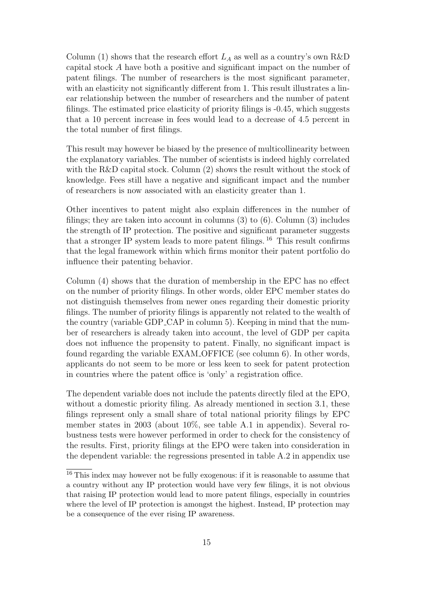Column (1) shows that the research effort  $L_A$  as well as a country's own R&D capital stock A have both a positive and significant impact on the number of patent filings. The number of researchers is the most significant parameter, with an elasticity not significantly different from 1. This result illustrates a linear relationship between the number of researchers and the number of patent filings. The estimated price elasticity of priority filings is -0.45, which suggests that a 10 percent increase in fees would lead to a decrease of 4.5 percent in the total number of first filings.

This result may however be biased by the presence of multicollinearity between the explanatory variables. The number of scientists is indeed highly correlated with the R&D capital stock. Column  $(2)$  shows the result without the stock of knowledge. Fees still have a negative and significant impact and the number of researchers is now associated with an elasticity greater than 1.

Other incentives to patent might also explain differences in the number of filings; they are taken into account in columns (3) to (6). Column (3) includes the strength of IP protection. The positive and significant parameter suggests that a stronger IP system leads to more patent filings.  $^{16}$  This result confirms that the legal framework within which firms monitor their patent portfolio do influence their patenting behavior.

Column (4) shows that the duration of membership in the EPC has no effect on the number of priority filings. In other words, older EPC member states do not distinguish themselves from newer ones regarding their domestic priority filings. The number of priority filings is apparently not related to the wealth of the country (variable GDP CAP in column 5). Keeping in mind that the number of researchers is already taken into account, the level of GDP per capita does not influence the propensity to patent. Finally, no significant impact is found regarding the variable EXAM OFFICE (see column 6). In other words, applicants do not seem to be more or less keen to seek for patent protection in countries where the patent office is 'only' a registration office.

The dependent variable does not include the patents directly filed at the EPO, without a domestic priority filing. As already mentioned in section 3.1, these filings represent only a small share of total national priority filings by EPC member states in 2003 (about 10%, see table A.1 in appendix). Several robustness tests were however performed in order to check for the consistency of the results. First, priority filings at the EPO were taken into consideration in the dependent variable: the regressions presented in table A.2 in appendix use

<sup>16</sup> This index may however not be fully exogenous: if it is reasonable to assume that a country without any IP protection would have very few filings, it is not obvious that raising IP protection would lead to more patent filings, especially in countries where the level of IP protection is amongst the highest. Instead, IP protection may be a consequence of the ever rising IP awareness.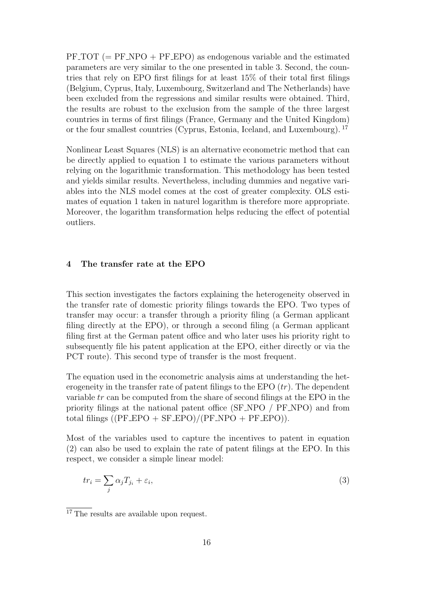$PF\_TOT$  (=  $PF\_NPO + PF\_EPO$ ) as endogenous variable and the estimated parameters are very similar to the one presented in table 3. Second, the countries that rely on EPO first filings for at least 15% of their total first filings (Belgium, Cyprus, Italy, Luxembourg, Switzerland and The Netherlands) have been excluded from the regressions and similar results were obtained. Third, the results are robust to the exclusion from the sample of the three largest countries in terms of first filings (France, Germany and the United Kingdom) or the four smallest countries (Cyprus, Estonia, Iceland, and Luxembourg). <sup>17</sup>

Nonlinear Least Squares (NLS) is an alternative econometric method that can be directly applied to equation 1 to estimate the various parameters without relying on the logarithmic transformation. This methodology has been tested and yields similar results. Nevertheless, including dummies and negative variables into the NLS model comes at the cost of greater complexity. OLS estimates of equation 1 taken in naturel logarithm is therefore more appropriate. Moreover, the logarithm transformation helps reducing the effect of potential outliers.

## **4 The transfer rate at the EPO**

This section investigates the factors explaining the heterogeneity observed in the transfer rate of domestic priority filings towards the EPO. Two types of transfer may occur: a transfer through a priority filing (a German applicant filing directly at the EPO), or through a second filing (a German applicant filing first at the German patent office and who later uses his priority right to subsequently file his patent application at the EPO, either directly or via the PCT route). This second type of transfer is the most frequent.

The equation used in the econometric analysis aims at understanding the heterogeneity in the transfer rate of patent filings to the EPO  $(tr)$ . The dependent variable tr can be computed from the share of second filings at the EPO in the priority filings at the national patent office (SF NPO / PF NPO) and from total filings  $((PF\_EPO + SF\_EPO)/(PF\_NPO + PF\_EPO)).$ 

Most of the variables used to capture the incentives to patent in equation (2) can also be used to explain the rate of patent filings at the EPO. In this respect, we consider a simple linear model:

$$
tr_i = \sum_j \alpha_j T_{j_i} + \varepsilon_i,\tag{3}
$$

<sup>&</sup>lt;sup>17</sup> The results are available upon request.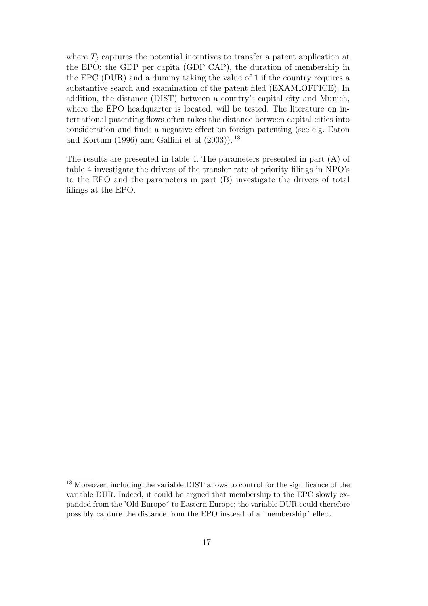where  $T_i$  captures the potential incentives to transfer a patent application at the EPO: the GDP per capita (GDP CAP), the duration of membership in the EPC (DUR) and a dummy taking the value of 1 if the country requires a substantive search and examination of the patent filed (EXAM OFFICE). In addition, the distance (DIST) between a country's capital city and Munich, where the EPO headquarter is located, will be tested. The literature on international patenting flows often takes the distance between capital cities into consideration and finds a negative effect on foreign patenting (see e.g. Eaton and Kortum (1996) and Gallini et al (2003)). <sup>18</sup>

The results are presented in table 4. The parameters presented in part (A) of table 4 investigate the drivers of the transfer rate of priority filings in NPO's to the EPO and the parameters in part (B) investigate the drivers of total filings at the EPO.

<sup>18</sup> Moreover, including the variable DIST allows to control for the significance of the variable DUR. Indeed, it could be argued that membership to the EPC slowly expanded from the 'Old Europe´ to Eastern Europe; the variable DUR could therefore possibly capture the distance from the EPO instead of a 'membership´ effect.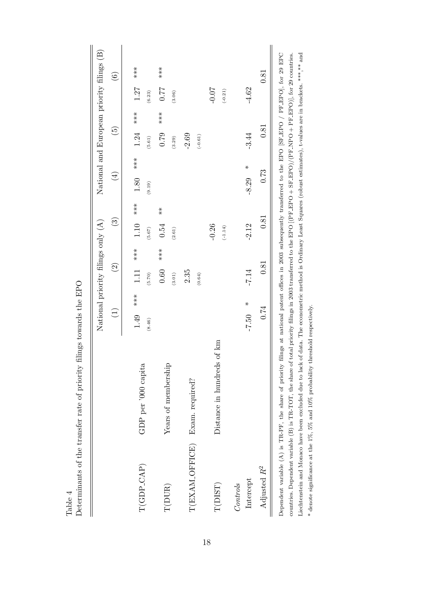|                       |                                                                                                                                                                                                                                                                                                                                                                                                                                                                                                                                 | National priority filings only (A) |                         |                                                            |                      | National and European priority filings (B) |                      |                        |
|-----------------------|---------------------------------------------------------------------------------------------------------------------------------------------------------------------------------------------------------------------------------------------------------------------------------------------------------------------------------------------------------------------------------------------------------------------------------------------------------------------------------------------------------------------------------|------------------------------------|-------------------------|------------------------------------------------------------|----------------------|--------------------------------------------|----------------------|------------------------|
|                       |                                                                                                                                                                                                                                                                                                                                                                                                                                                                                                                                 | $\bigoplus$                        | $\widetilde{S}$         | $\widehat{\mathbb{C}}$                                     | $\left( \pm \right)$ | $\widetilde{5}$                            |                      | $\widehat{\mathbf{e}}$ |
| $\rm T(GDP\_CAP)$     | GDP per '000 capita                                                                                                                                                                                                                                                                                                                                                                                                                                                                                                             | $1.49$ ***<br>(8.46)               | $1.11$ ***<br>(5.70)    | $1.10$ ***<br>(5.67)                                       | 1.80 ***<br>(9.19)   | $***$<br>1.24<br>(5.61)                    | $1.27$ ***<br>(6.23) |                        |
| T(DUR)                | Years of membership                                                                                                                                                                                                                                                                                                                                                                                                                                                                                                             |                                    | $***$<br>0.60<br>(3.01) | $\begin{array}{c} * \ * \ * \end{array}$<br>0.54<br>(2.61) |                      | $**\n  * \n  * \n$<br>0.79<br>(3.29)       | 77.7<br>(3.06)       | $***$                  |
| T(EXAM_OFFICE)        | Exam. required?                                                                                                                                                                                                                                                                                                                                                                                                                                                                                                                 |                                    | 2.35<br>(0.64)          |                                                            |                      | $-2.69$<br>$(-0.61)$                       |                      |                        |
| T(DIST)               | Distance in hundreds of km                                                                                                                                                                                                                                                                                                                                                                                                                                                                                                      |                                    |                         | $-0.26$<br>$(-1.14)$                                       |                      |                                            | $-0.07$<br>$(-0.21)$ |                        |
| Intercept<br>Controls |                                                                                                                                                                                                                                                                                                                                                                                                                                                                                                                                 | $-7.50$ *                          | $-7.14$                 | $-2.12$                                                    | $-8.29$ *            | $-3.44$                                    | $-4.62$              |                        |
| Adjusted $R^2$        |                                                                                                                                                                                                                                                                                                                                                                                                                                                                                                                                 | 0.74                               | 0.81                    | 0.81                                                       | 0.73                 | 0.81                                       |                      | 0.81                   |
|                       | Dependent variable $(A)$ is TR-PF, the share of priority filings at national patent offices in 2003 subsequently transferred to the EPO [SF-EPO / PF-EPO], for 29 EPC<br>countries. Dependent variable (B) is TR-TOT, the share of total priority filings in 2003 transferred to the EPO (IPF EPO + SF-EPO)/(PF-NPO + PF-EPO)], for 29 countries.<br>Liechtenstein and Monaco have been excluded due to lack of data. The econometric method is Ordinary Least Squares (robust estimates), t-values are in brackets. *** ** and |                                    |                         |                                                            |                      |                                            |                      |                        |

Determinants of the transfer rate of priority filings towards the EPO Determinants of the transfer rate of priority filings towards the EPO

Table 4

\* denote significance at the 1%, 5% and 10% probability threshold respectively.

 $^*$  denote significance at the 1%, 5% and 10% probability threshold respectively.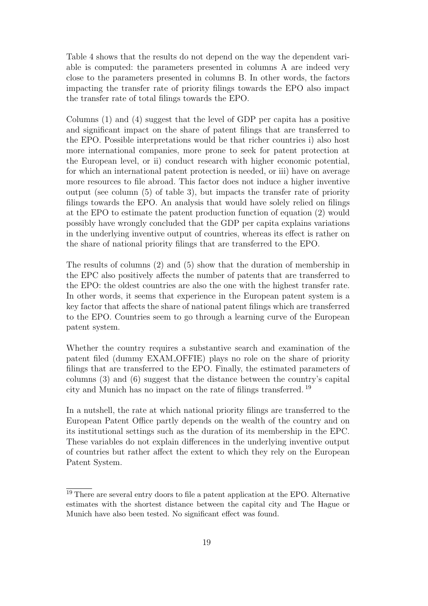Table 4 shows that the results do not depend on the way the dependent variable is computed: the parameters presented in columns A are indeed very close to the parameters presented in columns B. In other words, the factors impacting the transfer rate of priority filings towards the EPO also impact the transfer rate of total filings towards the EPO.

Columns (1) and (4) suggest that the level of GDP per capita has a positive and significant impact on the share of patent filings that are transferred to the EPO. Possible interpretations would be that richer countries i) also host more international companies, more prone to seek for patent protection at the European level, or ii) conduct research with higher economic potential, for which an international patent protection is needed, or iii) have on average more resources to file abroad. This factor does not induce a higher inventive output (see column (5) of table 3), but impacts the transfer rate of priority filings towards the EPO. An analysis that would have solely relied on filings at the EPO to estimate the patent production function of equation (2) would possibly have wrongly concluded that the GDP per capita explains variations in the underlying inventive output of countries, whereas its effect is rather on the share of national priority filings that are transferred to the EPO.

The results of columns (2) and (5) show that the duration of membership in the EPC also positively affects the number of patents that are transferred to the EPO: the oldest countries are also the one with the highest transfer rate. In other words, it seems that experience in the European patent system is a key factor that affects the share of national patent filings which are transferred to the EPO. Countries seem to go through a learning curve of the European patent system.

Whether the country requires a substantive search and examination of the patent filed (dummy EXAM OFFIE) plays no role on the share of priority filings that are transferred to the EPO. Finally, the estimated parameters of columns (3) and (6) suggest that the distance between the country's capital city and Munich has no impact on the rate of filings transferred. <sup>19</sup>

In a nutshell, the rate at which national priority filings are transferred to the European Patent Office partly depends on the wealth of the country and on its institutional settings such as the duration of its membership in the EPC. These variables do not explain differences in the underlying inventive output of countries but rather affect the extent to which they rely on the European Patent System.

<sup>&</sup>lt;sup>19</sup> There are several entry doors to file a patent application at the EPO. Alternative estimates with the shortest distance between the capital city and The Hague or Munich have also been tested. No significant effect was found.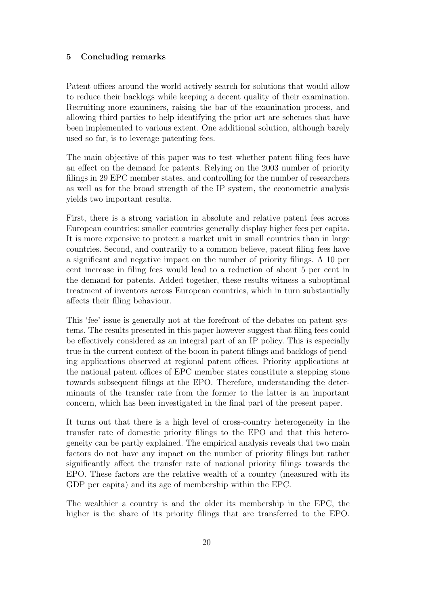### **5 Concluding remarks**

Patent offices around the world actively search for solutions that would allow to reduce their backlogs while keeping a decent quality of their examination. Recruiting more examiners, raising the bar of the examination process, and allowing third parties to help identifying the prior art are schemes that have been implemented to various extent. One additional solution, although barely used so far, is to leverage patenting fees.

The main objective of this paper was to test whether patent filing fees have an effect on the demand for patents. Relying on the 2003 number of priority filings in 29 EPC member states, and controlling for the number of researchers as well as for the broad strength of the IP system, the econometric analysis yields two important results.

First, there is a strong variation in absolute and relative patent fees across European countries: smaller countries generally display higher fees per capita. It is more expensive to protect a market unit in small countries than in large countries. Second, and contrarily to a common believe, patent filing fees have a significant and negative impact on the number of priority filings. A 10 per cent increase in filing fees would lead to a reduction of about 5 per cent in the demand for patents. Added together, these results witness a suboptimal treatment of inventors across European countries, which in turn substantially affects their filing behaviour.

This 'fee' issue is generally not at the forefront of the debates on patent systems. The results presented in this paper however suggest that filing fees could be effectively considered as an integral part of an IP policy. This is especially true in the current context of the boom in patent filings and backlogs of pending applications observed at regional patent offices. Priority applications at the national patent offices of EPC member states constitute a stepping stone towards subsequent filings at the EPO. Therefore, understanding the determinants of the transfer rate from the former to the latter is an important concern, which has been investigated in the final part of the present paper.

It turns out that there is a high level of cross-country heterogeneity in the transfer rate of domestic priority filings to the EPO and that this heterogeneity can be partly explained. The empirical analysis reveals that two main factors do not have any impact on the number of priority filings but rather significantly affect the transfer rate of national priority filings towards the EPO. These factors are the relative wealth of a country (measured with its GDP per capita) and its age of membership within the EPC.

The wealthier a country is and the older its membership in the EPC, the higher is the share of its priority filings that are transferred to the EPO.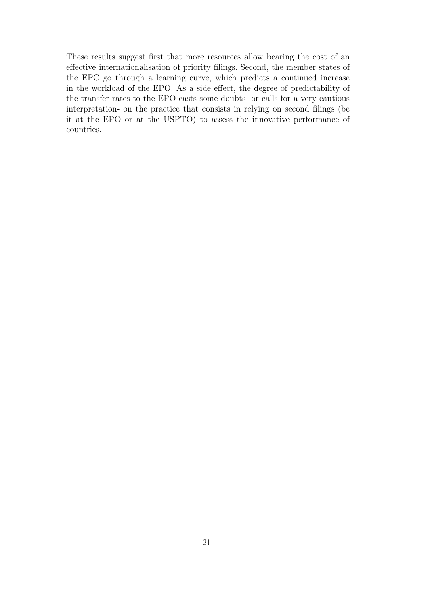These results suggest first that more resources allow bearing the cost of an effective internationalisation of priority filings. Second, the member states of the EPC go through a learning curve, which predicts a continued increase in the workload of the EPO. As a side effect, the degree of predictability of the transfer rates to the EPO casts some doubts -or calls for a very cautious interpretation- on the practice that consists in relying on second filings (be it at the EPO or at the USPTO) to assess the innovative performance of countries.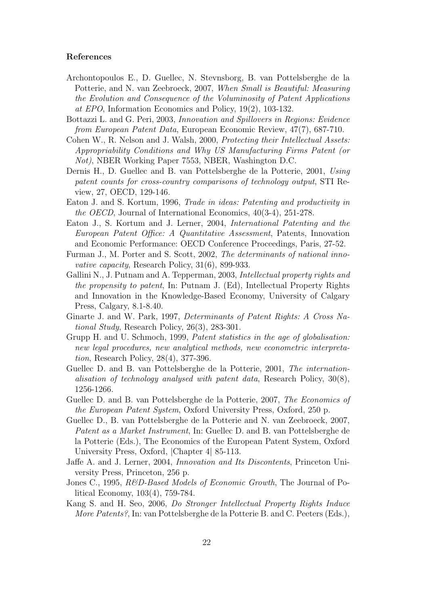#### **References**

- Archontopoulos E., D. Guellec, N. Stevnsborg, B. van Pottelsberghe de la Potterie, and N. van Zeebroeck, 2007, When Small is Beautiful: Measuring the Evolution and Consequence of the Voluminosity of Patent Applications at EPO, Information Economics and Policy, 19(2), 103-132.
- Bottazzi L. and G. Peri, 2003, Innovation and Spillovers in Regions: Evidence from European Patent Data, European Economic Review, 47(7), 687-710.
- Cohen W., R. Nelson and J. Walsh, 2000, Protecting their Intellectual Assets: Appropriability Conditions and Why US Manufacturing Firms Patent (or Not), NBER Working Paper 7553, NBER, Washington D.C.
- Dernis H., D. Guellec and B. van Pottelsberghe de la Potterie, 2001, Using patent counts for cross-country comparisons of technology output, STI Review, 27, OECD, 129-146.
- Eaton J. and S. Kortum, 1996, Trade in ideas: Patenting and productivity in the OECD, Journal of International Economics, 40(3-4), 251-278.
- Eaton J., S. Kortum and J. Lerner, 2004, International Patenting and the European Patent Office: A Quantitative Assessment, Patents, Innovation and Economic Performance: OECD Conference Proceedings, Paris, 27-52.
- Furman J., M. Porter and S. Scott, 2002, The determinants of national innovative capacity, Research Policy, 31(6), 899-933.
- Gallini N., J. Putnam and A. Tepperman, 2003, Intellectual property rights and the propensity to patent, In: Putnam J. (Ed), Intellectual Property Rights and Innovation in the Knowledge-Based Economy, University of Calgary Press, Calgary, 8.1-8.40.
- Ginarte J. and W. Park, 1997, Determinants of Patent Rights: A Cross National Study, Research Policy, 26(3), 283-301.
- Grupp H. and U. Schmoch, 1999, Patent statistics in the age of globalisation: new legal procedures, new analytical methods, new econometric interpretation, Research Policy, 28(4), 377-396.
- Guellec D. and B. van Pottelsberghe de la Potterie, 2001, The internationalisation of technology analysed with patent data, Research Policy, 30(8), 1256-1266.
- Guellec D. and B. van Pottelsberghe de la Potterie, 2007, The Economics of the European Patent System, Oxford University Press, Oxford, 250 p.
- Guellec D., B. van Pottelsberghe de la Potterie and N. van Zeebroeck, 2007, Patent as a Market Instrument, In: Guellec D. and B. van Pottelsberghe de la Potterie (Eds.), The Economics of the European Patent System, Oxford University Press, Oxford, |Chapter 4| 85-113.
- Jaffe A. and J. Lerner, 2004, Innovation and Its Discontents, Princeton University Press, Princeton, 256 p.
- Jones C., 1995, R&D-Based Models of Economic Growth, The Journal of Political Economy, 103(4), 759-784.
- Kang S. and H. Seo, 2006, Do Stronger Intellectual Property Rights Induce More Patents?, In: van Pottelsberghe de la Potterie B. and C. Peeters (Eds.),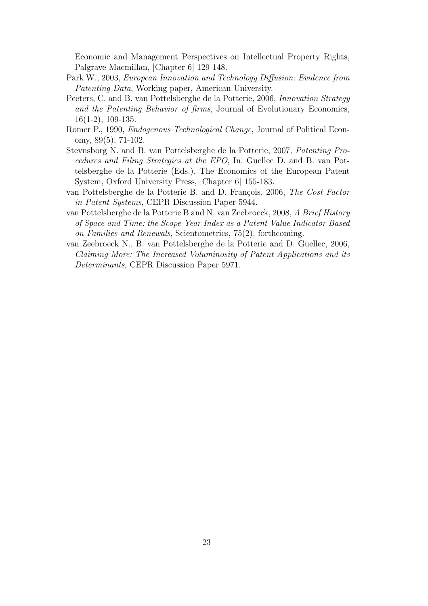Economic and Management Perspectives on Intellectual Property Rights, Palgrave Macmillan, |Chapter 6| 129-148.

- Park W., 2003, European Innovation and Technology Diffusion: Evidence from Patenting Data, Working paper, American University.
- Peeters, C. and B. van Pottelsberghe de la Potterie, 2006, Innovation Strategy and the Patenting Behavior of firms, Journal of Evolutionary Economics, 16(1-2), 109-135.
- Romer P., 1990, Endogenous Technological Change, Journal of Political Economy, 89(5), 71-102.
- Stevnsborg N. and B. van Pottelsberghe de la Potterie, 2007, Patenting Procedures and Filing Strategies at the EPO, In. Guellec D. and B. van Pottelsberghe de la Potterie (Eds.), The Economics of the European Patent System, Oxford University Press, |Chapter 6| 155-183.
- van Pottelsberghe de la Potterie B. and D. François, 2006, The Cost Factor in Patent Systems, CEPR Discussion Paper 5944.
- van Pottelsberghe de la Potterie B and N. van Zeebroeck, 2008, A Brief History of Space and Time: the Scope-Year Index as a Patent Value Indicator Based on Families and Renewals, Scientometrics, 75(2), forthcoming.
- van Zeebroeck N., B. van Pottelsberghe de la Potterie and D. Guellec, 2006, Claiming More: The Increased Voluminosity of Patent Applications and its Determinants, CEPR Discussion Paper 5971.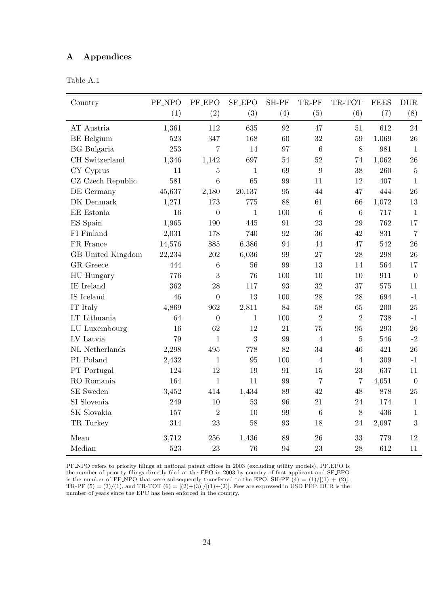## **A Appendices**

| Table<br>ı | $\sqrt{ }$ |  |
|------------|------------|--|
|------------|------------|--|

| Country                | PF_NPO | <b>PF_EPO</b>  | SF_EPO       | SH-PF | TR-PF            | TR-TOT         | <b>FEES</b> | <b>DUR</b>       |
|------------------------|--------|----------------|--------------|-------|------------------|----------------|-------------|------------------|
|                        | (1)    | (2)            | (3)          | (4)   | (5)              | (6)            | (7)         | (8)              |
| AT Austria             | 1,361  | 112            | 635          | 92    | 47               | 51             | 612         | 24               |
| <b>BE</b> Belgium      | 523    | 347            | 168          | 60    | 32               | 59             | 1,069       | 26               |
| <b>BG</b> Bulgaria     | 253    | $\overline{7}$ | 14           | 97    | 6                | 8              | 981         | $\mathbf{1}$     |
| CH Switzerland         | 1,346  | 1,142          | 697          | 54    | 52               | 74             | 1,062       | 26               |
| $CY$ Cyprus            | 11     | $\overline{5}$ | $\mathbf{1}$ | 69    | $\boldsymbol{9}$ | 38             | 260         | $\overline{5}$   |
| CZ Czech Republic      | 581    | 6              | 65           | 99    | 11               | 12             | 407         | $1\,$            |
| DE Germany             | 45,637 | 2,180          | 20,137       | 95    | 44               | 47             | 444         | 26               |
| DK Denmark             | 1,271  | 173            | 775          | 88    | 61               | 66             | 1,072       | 13               |
| EE Estonia             | 16     | $\overline{0}$ | $\mathbf{1}$ | 100   | 6                | 6              | 717         | $\mathbf{1}$     |
| ES Spain               | 1,965  | 190            | 445          | 91    | 23               | 29             | 762         | 17               |
| FI Finland             | 2,031  | 178            | 740          | 92    | 36               | 42             | 831         | $\overline{7}$   |
| FR France              | 14,576 | 885            | 6,386        | 94    | 44               | 47             | 542         | 26               |
| GB United Kingdom      | 22,234 | 202            | 6,036        | 99    | 27               | 28             | 298         | 26               |
| <b>GR</b> Greece       | 444    | 6              | 56           | 99    | 13               | 14             | 564         | 17               |
| HU Hungary             | 776    | 3              | 76           | 100   | 10               | 10             | 911         | $\overline{0}$   |
| $\rm IE$ $\rm Ireland$ | 362    | 28             | 117          | 93    | 32               | 37             | 575         | 11               |
| IS Iceland             | 46     | $\overline{0}$ | 13           | 100   | 28               | 28             | 694         | $-1$             |
| IT Italy               | 4,869  | 962            | 2,811        | 84    | 58               | 65             | 200         | 25               |
| LT Lithuania           | 64     | $\overline{0}$ | $\mathbf{1}$ | 100   | $\overline{2}$   | $\overline{2}$ | 738         | $-1$             |
| LU Luxembourg          | 16     | 62             | 12           | 21    | 75               | 95             | 293         | 26               |
| LV Latvia              | 79     | $\mathbf{1}$   | 3            | 99    | $\overline{4}$   | $\bf 5$        | 546         | $-2$             |
| NL Netherlands         | 2,298  | 495            | 778          | 82    | 34               | 46             | 421         | 26               |
| PL Poland              | 2,432  | $\mathbf{1}$   | 95           | 100   | 4                | $\overline{4}$ | 309         | $-1$             |
| PT Portugal            | 124    | 12             | 19           | 91    | 15               | 23             | 637         | 11               |
| RO Romania             | 164    | $\mathbf{1}$   | 11           | 99    | $\overline{7}$   | $\overline{7}$ | 4,051       | $\boldsymbol{0}$ |
| SE Sweden              | 3,452  | 414            | 1,434        | 89    | 42               | 48             | 878         | 25               |
| SI Slovenia            | 249    | 10             | 53           | 96    | 21               | 24             | 174         | $1\,$            |
| SK Slovakia            | 157    | $\overline{2}$ | 10           | 99    | 6                | 8              | 436         | $\mathbf{1}$     |
| TR Turkey              | 314    | 23             | 58           | 93    | 18               | 24             | 2,097       | 3                |
| Mean                   | 3,712  | 256            | 1,436        | 89    | 26               | 33             | 779         | 12               |
| Median                 | 523    | 23             | 76           | 94    | 23               | 28             | 612         | 11               |

PF NPO refers to priority filings at national patent offices in 2003 (excluding utility models), PF EPO is the number of priority filings directly filed at the EPO in 2003 by country of first applicant and SF EPO is the number of PF\_NPO that were subsequently transferred to the EPO. SH-PF  $(4) = (1)/[(1) + (2)]$ , TR-PF  $(5) = (3)/(1)$ , and TR-TOT  $(6) = [(2)+(3)]/[(1)+(2)]$ . Fees are expressed in USD PPP. DUR is the number of years since the EPC has been enforced in the country.